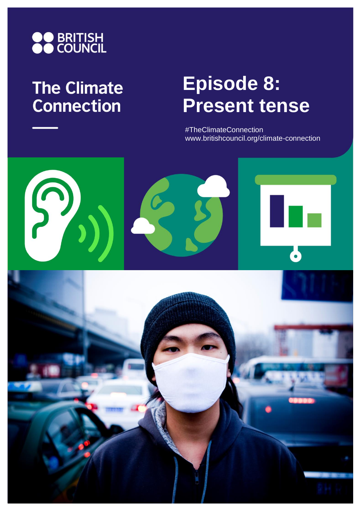

## **The Climate Connection**

# **Episode 8: Present tense**

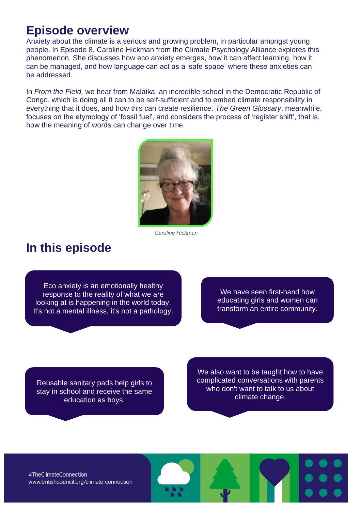### **Episode overview**

Anxiety about the climate is a serious and growing problem, in particular amongst young people. In Episode 8, Caroline Hickman from the Climate Psychology Alliance explores this phenomenon. She discusses how eco anxiety emerges, how it can affect learning, how it can be managed, and how language can act as a 'safe space' where these anxieties can be addressed.

In *From the Field,* we hear from Malaika, an incredible school in the Democratic Republic of Congo, which is doing all it can to be self-sufficient and to embed climate responsibility in everything that it does, and how this can create resilience. *The Green Glossary*, meanwhile, focuses on the etymology of 'fossil fuel', and considers the process of 'register shift', that is, how the meaning of words can change over time.



*Caroline Hickman*

### **In this episode**

Eco anxiety is an emotionally healthy response to the reality of what we are looking at is happening in the world today. It's not a mental illness, it's not a pathology.

We have seen first-hand how educating girls and women can transform an entire community.

Reusable sanitary pads help girls to stay in school and receive the same education as boys.

We also want to be taught how to have complicated conversations with parents who don't want to talk to us about climate change.

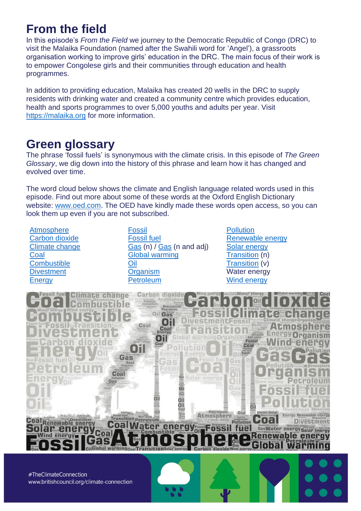### **From the field**

In this episode's *From the Field* we journey to the Democratic Republic of Congo (DRC) to visit the Malaika Foundation (named after the Swahili word for 'Angel'), a grassroots organisation working to improve girls' education in the DRC. The main focus of their work is to empower Congolese girls and their communities through education and health programmes.

In addition to providing education, Malaika has created 20 wells in the DRC to supply residents with drinking water and created a community centre which provides education, health and sports programmes to over 5,000 youths and adults per year. Visit [https://malaika.org](https://malaika.org/f) for more information.

### **Green glossary**

The phrase 'fossil fuels' is synonymous with the climate crisis. In this episode of *The Green Glossary*, we dig down into the history of this phrase and learn how it has changed and evolved over time.

The word cloud below shows the climate and English language related words used in this episode. Find out more about some of these words at the Oxford English Dictionary website: [www.oed.com.](http://www.oed.com/) The OED have kindly made these words open access, so you can look them up even if you are not subscribed.

**[Atmosphere](https://www.oed.com/view/Entry/12552)** [Carbon dioxide](https://www.oed.com/view/Entry/270762) [Climate change](https://www.oed.com/view/Entry/34319#eid119694526) [Coal](https://www.oed.com/view/Entry/35041) **[Combustible](https://www.oed.com/view/Entry/36811) [Divestment](https://www.oed.com/view/Entry/56095) [Energy](https://www.oed.com/view/Entry/62088)** 

[Fossil](https://www.oed.com/view/Entry/73829) [Fossil fuel](https://www.oed.com/view/Entry/274339) [Gas](https://www.oed.com/view/Entry/76919) (n) / [Gas](https://www.oed.com/view/Entry/76918) (n and adj) [Global warming](https://www.oed.com/view/Entry/272742) [Oil](https://www.oed.com/view/Entry/130877) **[Organism](https://www.oed.com/view/Entry/132441)** [Petroleum](https://www.oed.com/view/Entry/141931)

**[Pollution](https://www.oed.com/view/Entry/146992)** [Renewable energy](https://www.oed.com/view/Entry/162427#eid26071349) [Solar energy](https://www.lexico.com/definition/solar_energy) [Transition](https://www.oed.com/view/Entry/204815) (n) [Transition](https://www.oed.com/view/Entry/242997) (v) Water energy [Wind energy](https://www.oed.com/view/Entry/229181#eid14555582)

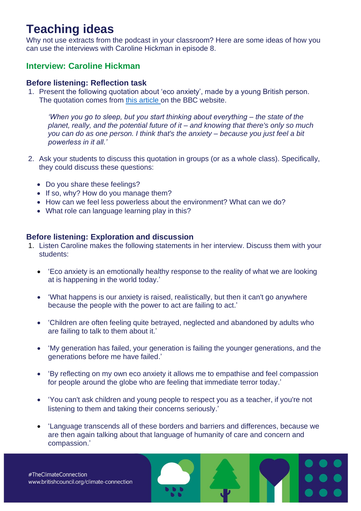### **Teaching ideas**

Why not use extracts from the podcast in your classroom? Here are some ideas of how you can use the interviews with Caroline Hickman in episode 8.

#### **Interview: Caroline Hickman**

#### **Before listening: Reflection task**

1. Present the following quotation about 'eco anxiety', made by a young British person. The quotation comes from [this article](https://www.bbc.co.uk/bbcthree/article/b2e7ee32-ad28-4ec4-89aa-a8b8c98f95a5) on the BBC website.

*'When you go to sleep, but you start thinking about everything – the state of the planet, really, and the potential future of it – and knowing that there's only so much you can do as one person. I think that's the anxiety – because you just feel a bit powerless in it all.'*

- 2. Ask your students to discuss this quotation in groups (or as a whole class). Specifically, they could discuss these questions:
	- Do you share these feelings?
	- If so, why? How do you manage them?
	- How can we feel less powerless about the environment? What can we do?
	- What role can language learning play in this?

#### **Before listening: Exploration and discussion**

- 1. Listen Caroline makes the following statements in her interview. Discuss them with your students:
	- 'Eco anxiety is an emotionally healthy response to the reality of what we are looking at is happening in the world today.'
	- 'What happens is our anxiety is raised, realistically, but then it can't go anywhere because the people with the power to act are failing to act.'
	- 'Children are often feeling quite betrayed, neglected and abandoned by adults who are failing to talk to them about it.'
	- 'My generation has failed, your generation is failing the younger generations, and the generations before me have failed.'
	- 'By reflecting on my own eco anxiety it allows me to empathise and feel compassion for people around the globe who are feeling that immediate terror today.'
	- 'You can't ask children and young people to respect you as a teacher, if you're not listening to them and taking their concerns seriously.'
	- 'Language transcends all of these borders and barriers and differences, because we are then again talking about that language of humanity of care and concern and compassion.'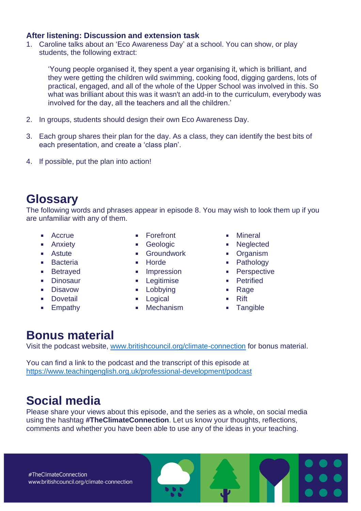#### **After listening: Discussion and extension task**

1. Caroline talks about an 'Eco Awareness Day' at a school. You can show, or play students, the following extract:

'Young people organised it, they spent a year organising it, which is brilliant, and they were getting the children wild swimming, cooking food, digging gardens, lots of practical, engaged, and all of the whole of the Upper School was involved in this. So what was brilliant about this was it wasn't an add-in to the curriculum, everybody was involved for the day, all the teachers and all the children.'

- 2. In groups, students should design their own Eco Awareness Day.
- 3. Each group shares their plan for the day. As a class, they can identify the best bits of each presentation, and create a 'class plan'.
- 4. If possible, put the plan into action!

### **Glossary**

The following words and phrases appear in episode 8. You may wish to look them up if you are unfamiliar with any of them.

- Accrue
- **Anxiety**
- **Astute**
- **Bacteria**
- **Betrayed**
- **Dinosaur**
- **Disavow**
- **Dovetail**
- **Empathy**
- **Forefront**
- Geologic
- **Groundwork**
- **Horde**
- **Impression**
- **Legitimise**
- **Lobbying**
- **Logical**
- **•** Mechanism
- **Mineral**
- **Neglected**
- **•** Organism
- Pathology
- **•** Perspective
- **•** Petrified
- Rage
- $R$ ift
- **Tangible**

### **Bonus material**

Visit the podcast website, [www.britishcouncil.org/climate-connection](http://www.britishcouncil.org/climate-connection) for bonus material.

You can find a link to the podcast and the transcript of this episode at <https://www.teachingenglish.org.uk/professional-development/podcast>

### **Social media**

Please share your views about this episode, and the series as a whole, on social media using the hashtag **#TheClimateConnection**. Let us know your thoughts, reflections, comments and whether you have been able to use any of the ideas in your teaching.

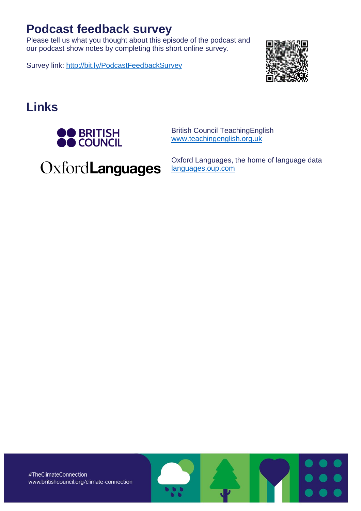### **Podcast feedback survey**

Please tell us what you thought about this episode of the podcast and our podcast show notes by completing this short online survey.

Survey link:<http://bit.ly/PodcastFeedbackSurvey>



### **Links**



British Council TeachingEnglish [www.teachingenglish.org.uk](http://www.teachingenglish.org.uk/)

OxfordLanguages

Oxford Languages, the home of language data [languages.oup.com](http://www.languages.oup.com/)

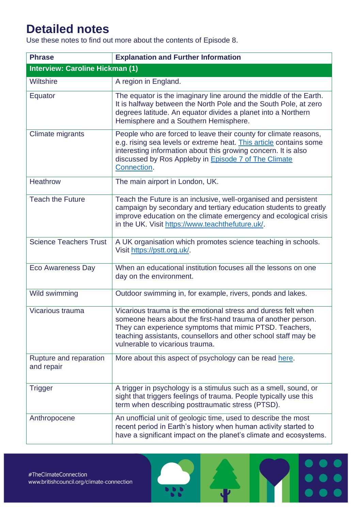### **Detailed notes**

Use these notes to find out more about the contents of Episode 8.

| <b>Phrase</b>                          | <b>Explanation and Further Information</b>                                                                                                                                                                                                                                                    |  |
|----------------------------------------|-----------------------------------------------------------------------------------------------------------------------------------------------------------------------------------------------------------------------------------------------------------------------------------------------|--|
| <b>Interview: Caroline Hickman (1)</b> |                                                                                                                                                                                                                                                                                               |  |
| Wiltshire                              | A region in England.                                                                                                                                                                                                                                                                          |  |
| Equator                                | The equator is the imaginary line around the middle of the Earth.<br>It is halfway between the North Pole and the South Pole, at zero<br>degrees latitude. An equator divides a planet into a Northern<br>Hemisphere and a Southern Hemisphere.                                               |  |
| <b>Climate migrants</b>                | People who are forced to leave their county for climate reasons,<br>e.g. rising sea levels or extreme heat. This article contains some<br>interesting information about this growing concern. It is also<br>discussed by Ros Appleby in <b>Episode 7 of The Climate</b><br>Connection.        |  |
| <b>Heathrow</b>                        | The main airport in London, UK.                                                                                                                                                                                                                                                               |  |
| <b>Teach the Future</b>                | Teach the Future is an inclusive, well-organised and persistent<br>campaign by secondary and tertiary education students to greatly<br>improve education on the climate emergency and ecological crisis<br>in the UK. Visit https://www.teachthefuture.uk/.                                   |  |
| <b>Science Teachers Trust</b>          | A UK organisation which promotes science teaching in schools.<br>Visit https://pstt.org.uk/.                                                                                                                                                                                                  |  |
| <b>Eco Awareness Day</b>               | When an educational institution focuses all the lessons on one<br>day on the environment.                                                                                                                                                                                                     |  |
| Wild swimming                          | Outdoor swimming in, for example, rivers, ponds and lakes.                                                                                                                                                                                                                                    |  |
| Vicarious trauma                       | Vicarious trauma is the emotional stress and duress felt when<br>someone hears about the first-hand trauma of another person.<br>They can experience symptoms that mimic PTSD. Teachers,<br>teaching assistants, counsellors and other school staff may be<br>vulnerable to vicarious trauma. |  |
| Rupture and reparation<br>and repair   | More about this aspect of psychology can be read here.                                                                                                                                                                                                                                        |  |
| <b>Trigger</b>                         | A trigger in psychology is a stimulus such as a smell, sound, or<br>sight that triggers feelings of trauma. People typically use this<br>term when describing posttraumatic stress (PTSD).                                                                                                    |  |
| Anthropocene                           | An unofficial unit of geologic time, used to describe the most<br>recent period in Earth's history when human activity started to<br>have a significant impact on the planet's climate and ecosystems.                                                                                        |  |

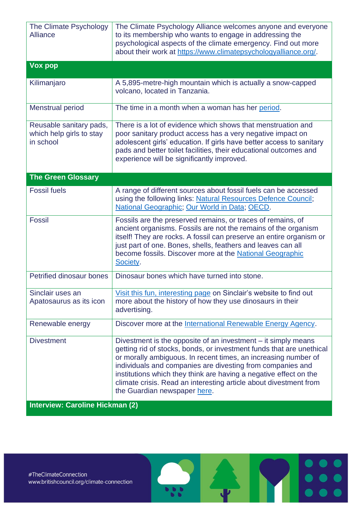| The Climate Psychology<br><b>Alliance</b>                        | The Climate Psychology Alliance welcomes anyone and everyone<br>to its membership who wants to engage in addressing the<br>psychological aspects of the climate emergency. Find out more<br>about their work at https://www.climatepsychologyalliance.org/.                                                                                                                                                                                     |
|------------------------------------------------------------------|-------------------------------------------------------------------------------------------------------------------------------------------------------------------------------------------------------------------------------------------------------------------------------------------------------------------------------------------------------------------------------------------------------------------------------------------------|
| Vox pop                                                          |                                                                                                                                                                                                                                                                                                                                                                                                                                                 |
| Kilimanjaro                                                      | A 5,895-metre-high mountain which is actually a snow-capped<br>volcano, located in Tanzania.                                                                                                                                                                                                                                                                                                                                                    |
| <b>Menstrual period</b>                                          | The time in a month when a woman has her period.                                                                                                                                                                                                                                                                                                                                                                                                |
| Reusable sanitary pads,<br>which help girls to stay<br>in school | There is a lot of evidence which shows that menstruation and<br>poor sanitary product access has a very negative impact on<br>adolescent girls' education. If girls have better access to sanitary<br>pads and better toilet facilities, their educational outcomes and<br>experience will be significantly improved.                                                                                                                           |
| <b>The Green Glossary</b>                                        |                                                                                                                                                                                                                                                                                                                                                                                                                                                 |
| <b>Fossil fuels</b>                                              | A range of different sources about fossil fuels can be accessed<br>using the following links: Natural Resources Defence Council;<br>National Geographic; Our World in Data; OECD.                                                                                                                                                                                                                                                               |
| <b>Fossil</b>                                                    | Fossils are the preserved remains, or traces of remains, of<br>ancient organisms. Fossils are not the remains of the organism<br>itself! They are rocks. A fossil can preserve an entire organism or<br>just part of one. Bones, shells, feathers and leaves can all<br>become fossils. Discover more at the National Geographic<br>Society.                                                                                                    |
| <b>Petrified dinosaur bones</b>                                  | Dinosaur bones which have turned into stone.                                                                                                                                                                                                                                                                                                                                                                                                    |
| Sinclair uses an<br>Apatosaurus as its icon                      | Visit this fun, interesting page on Sinclair's website to find out<br>more about the history of how they use dinosaurs in their<br>advertising.                                                                                                                                                                                                                                                                                                 |
| Renewable energy                                                 | Discover more at the International Renewable Energy Agency.                                                                                                                                                                                                                                                                                                                                                                                     |
| <b>Divestment</b>                                                | Divestment is the opposite of an investment – it simply means<br>getting rid of stocks, bonds, or investment funds that are unethical<br>or morally ambiguous. In recent times, an increasing number of<br>individuals and companies are divesting from companies and<br>institutions which they think are having a negative effect on the<br>climate crisis. Read an interesting article about divestment from<br>the Guardian newspaper here. |
| <b>Interview: Caroline Hickman (2)</b>                           |                                                                                                                                                                                                                                                                                                                                                                                                                                                 |